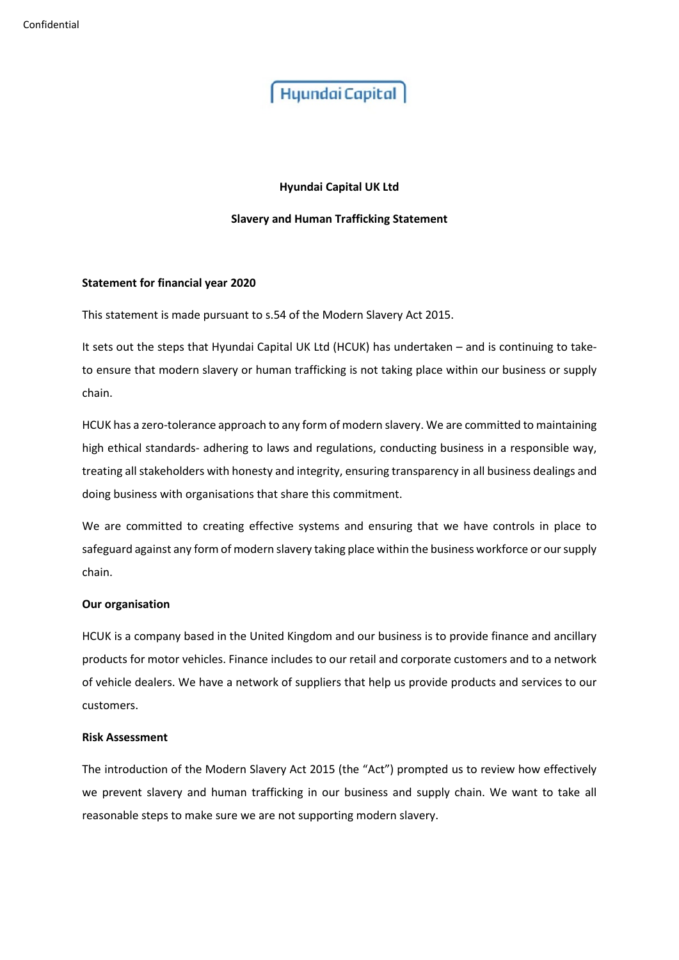# **Hyundai Capital UK Ltd**

# **Slavery and Human Trafficking Statement**

### **Statement for financial year 2020**

This statement is made pursuant to s.54 of the Modern Slavery Act 2015.

It sets out the steps that Hyundai Capital UK Ltd (HCUK) has undertaken – and is continuing to taketo ensure that modern slavery or human trafficking is not taking place within our business or supply chain.

HCUK has a zero-tolerance approach to any form of modern slavery. We are committed to maintaining high ethical standards- adhering to laws and regulations, conducting business in a responsible way, treating all stakeholders with honesty and integrity, ensuring transparency in all business dealings and doing business with organisations that share this commitment.

We are committed to creating effective systems and ensuring that we have controls in place to safeguard against any form of modern slavery taking place within the business workforce or our supply chain.

## **Our organisation**

HCUK is a company based in the United Kingdom and our business is to provide finance and ancillary products for motor vehicles. Finance includes to our retail and corporate customers and to a network of vehicle dealers. We have a network of suppliers that help us provide products and services to our customers.

### **Risk Assessment**

The introduction of the Modern Slavery Act 2015 (the "Act") prompted us to review how effectively we prevent slavery and human trafficking in our business and supply chain. We want to take all reasonable steps to make sure we are not supporting modern slavery.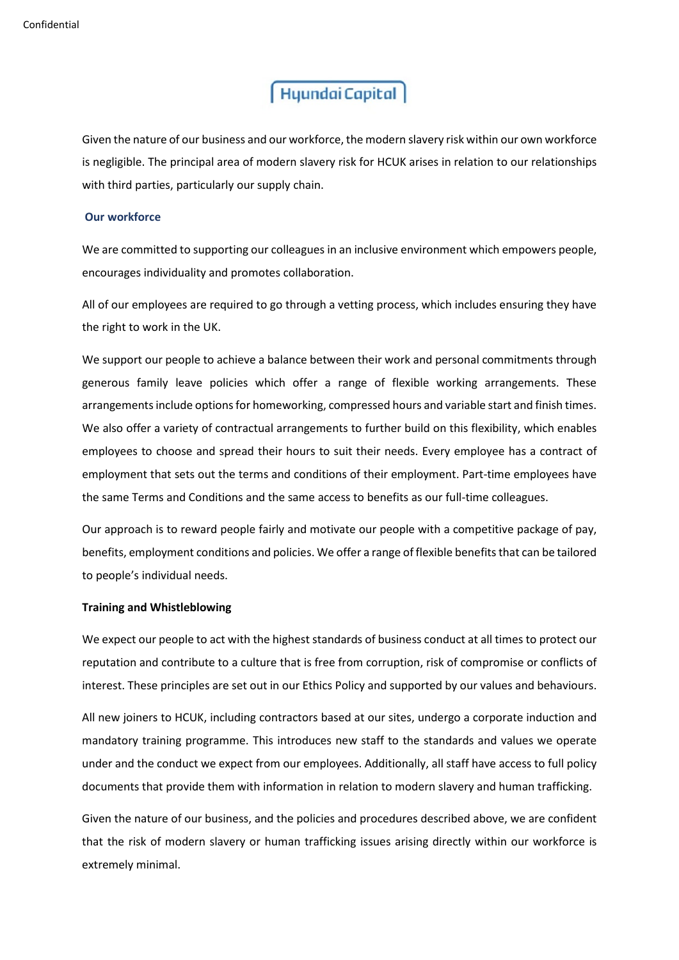Given the nature of our business and our workforce, the modern slavery risk within our own workforce is negligible. The principal area of modern slavery risk for HCUK arises in relation to our relationships with third parties, particularly our supply chain.

## **Our workforce**

We are committed to supporting our colleagues in an inclusive environment which empowers people, encourages individuality and promotes collaboration.

All of our employees are required to go through a vetting process, which includes ensuring they have the right to work in the UK.

We support our people to achieve a balance between their work and personal commitments through generous family leave policies which offer a range of flexible working arrangements. These arrangements include options for homeworking, compressed hours and variable start and finish times. We also offer a variety of contractual arrangements to further build on this flexibility, which enables employees to choose and spread their hours to suit their needs. Every employee has a contract of employment that sets out the terms and conditions of their employment. Part-time employees have the same Terms and Conditions and the same access to benefits as our full-time colleagues.

Our approach is to reward people fairly and motivate our people with a competitive package of pay, benefits, employment conditions and policies. We offer a range of flexible benefits that can be tailored to people's individual needs.

# **Training and Whistleblowing**

We expect our people to act with the highest standards of business conduct at all times to protect our reputation and contribute to a culture that is free from corruption, risk of compromise or conflicts of interest. These principles are set out in our Ethics Policy and supported by our values and behaviours.

All new joiners to HCUK, including contractors based at our sites, undergo a corporate induction and mandatory training programme. This introduces new staff to the standards and values we operate under and the conduct we expect from our employees. Additionally, all staff have access to full policy documents that provide them with information in relation to modern slavery and human trafficking.

Given the nature of our business, and the policies and procedures described above, we are confident that the risk of modern slavery or human trafficking issues arising directly within our workforce is extremely minimal.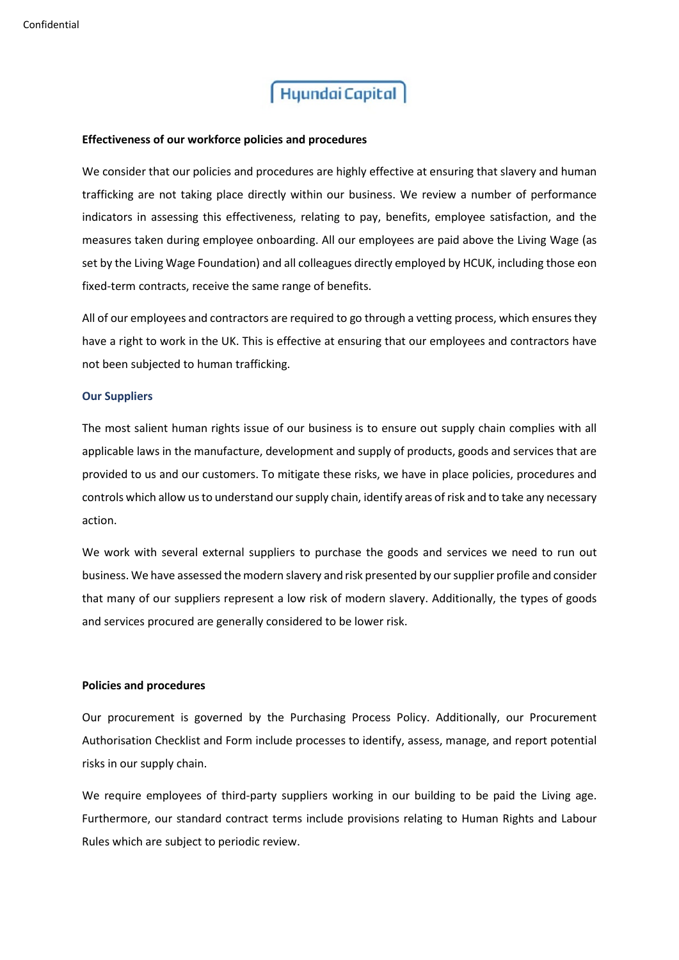## **Effectiveness of our workforce policies and procedures**

We consider that our policies and procedures are highly effective at ensuring that slavery and human trafficking are not taking place directly within our business. We review a number of performance indicators in assessing this effectiveness, relating to pay, benefits, employee satisfaction, and the measures taken during employee onboarding. All our employees are paid above the Living Wage (as set by the Living Wage Foundation) and all colleagues directly employed by HCUK, including those eon fixed-term contracts, receive the same range of benefits.

All of our employees and contractors are required to go through a vetting process, which ensures they have a right to work in the UK. This is effective at ensuring that our employees and contractors have not been subjected to human trafficking.

### **Our Suppliers**

The most salient human rights issue of our business is to ensure out supply chain complies with all applicable laws in the manufacture, development and supply of products, goods and services that are provided to us and our customers. To mitigate these risks, we have in place policies, procedures and controls which allow us to understand our supply chain, identify areas of risk and to take any necessary action.

We work with several external suppliers to purchase the goods and services we need to run out business. We have assessed the modern slavery and risk presented by our supplier profile and consider that many of our suppliers represent a low risk of modern slavery. Additionally, the types of goods and services procured are generally considered to be lower risk.

### **Policies and procedures**

Our procurement is governed by the Purchasing Process Policy. Additionally, our Procurement Authorisation Checklist and Form include processes to identify, assess, manage, and report potential risks in our supply chain.

We require employees of third-party suppliers working in our building to be paid the Living age. Furthermore, our standard contract terms include provisions relating to Human Rights and Labour Rules which are subject to periodic review.